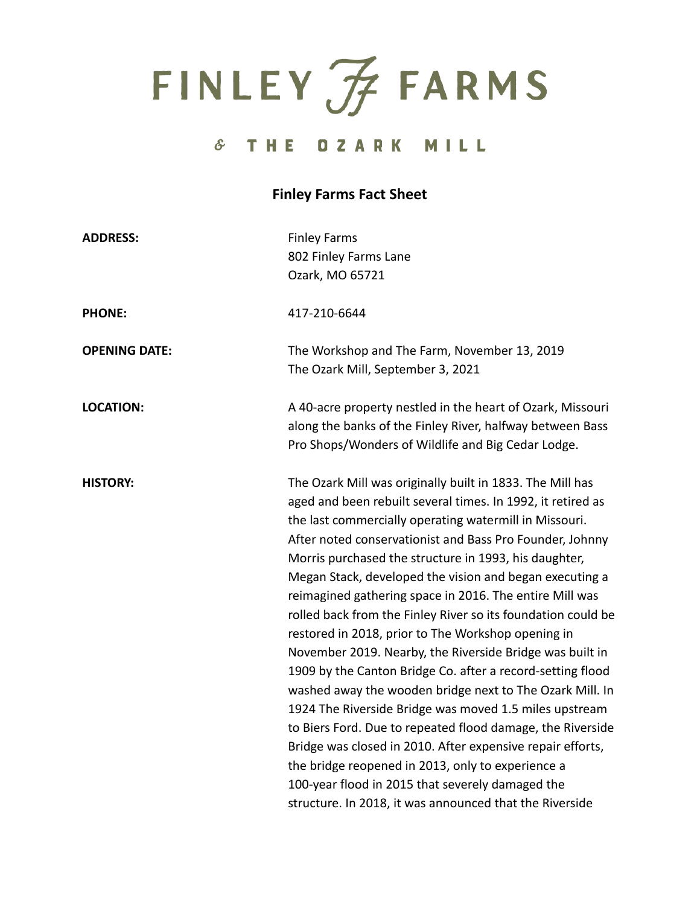FINLEY FARMS

#### $\hat{\sigma}$ THE OZARK MILL

### **Finley Farms Fact Sheet**

| <b>ADDRESS:</b>      | <b>Finley Farms</b><br>802 Finley Farms Lane<br>Ozark, MO 65721                                                                                                                                                                                                                                                                                                                                                                                                                                                                                                                                                                                                                                                                                                                                                                                                                                                                                                                                                                                                                                     |
|----------------------|-----------------------------------------------------------------------------------------------------------------------------------------------------------------------------------------------------------------------------------------------------------------------------------------------------------------------------------------------------------------------------------------------------------------------------------------------------------------------------------------------------------------------------------------------------------------------------------------------------------------------------------------------------------------------------------------------------------------------------------------------------------------------------------------------------------------------------------------------------------------------------------------------------------------------------------------------------------------------------------------------------------------------------------------------------------------------------------------------------|
| <b>PHONE:</b>        | 417-210-6644                                                                                                                                                                                                                                                                                                                                                                                                                                                                                                                                                                                                                                                                                                                                                                                                                                                                                                                                                                                                                                                                                        |
| <b>OPENING DATE:</b> | The Workshop and The Farm, November 13, 2019<br>The Ozark Mill, September 3, 2021                                                                                                                                                                                                                                                                                                                                                                                                                                                                                                                                                                                                                                                                                                                                                                                                                                                                                                                                                                                                                   |
| <b>LOCATION:</b>     | A 40-acre property nestled in the heart of Ozark, Missouri<br>along the banks of the Finley River, halfway between Bass<br>Pro Shops/Wonders of Wildlife and Big Cedar Lodge.                                                                                                                                                                                                                                                                                                                                                                                                                                                                                                                                                                                                                                                                                                                                                                                                                                                                                                                       |
| <b>HISTORY:</b>      | The Ozark Mill was originally built in 1833. The Mill has<br>aged and been rebuilt several times. In 1992, it retired as<br>the last commercially operating watermill in Missouri.<br>After noted conservationist and Bass Pro Founder, Johnny<br>Morris purchased the structure in 1993, his daughter,<br>Megan Stack, developed the vision and began executing a<br>reimagined gathering space in 2016. The entire Mill was<br>rolled back from the Finley River so its foundation could be<br>restored in 2018, prior to The Workshop opening in<br>November 2019. Nearby, the Riverside Bridge was built in<br>1909 by the Canton Bridge Co. after a record-setting flood<br>washed away the wooden bridge next to The Ozark Mill. In<br>1924 The Riverside Bridge was moved 1.5 miles upstream<br>to Biers Ford. Due to repeated flood damage, the Riverside<br>Bridge was closed in 2010. After expensive repair efforts,<br>the bridge reopened in 2013, only to experience a<br>100-year flood in 2015 that severely damaged the<br>structure. In 2018, it was announced that the Riverside |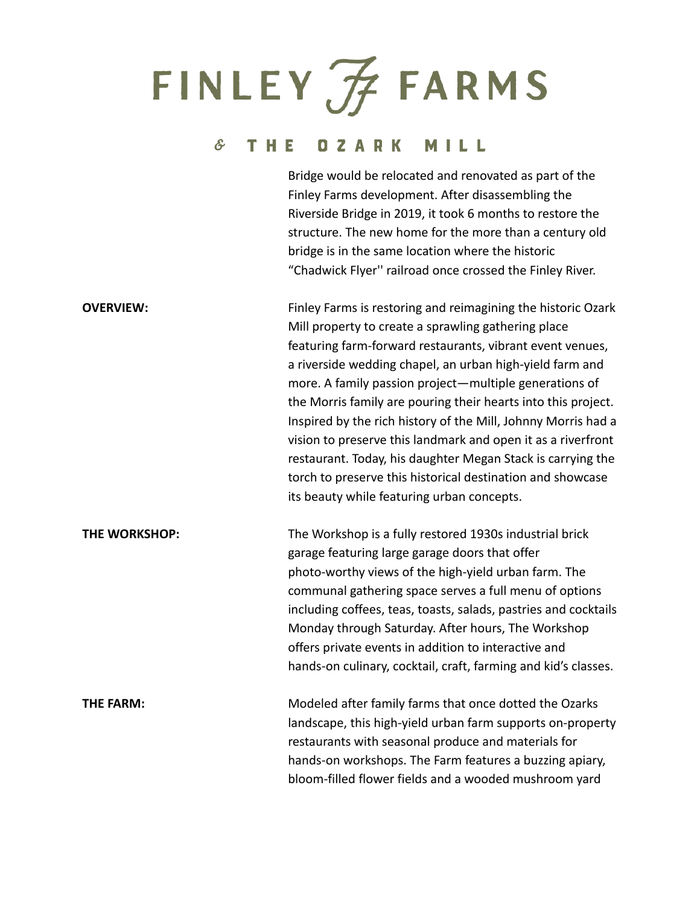# FINLEY FARMS

### & THE OZARK MILL

|                  | Bridge would be relocated and renovated as part of the<br>Finley Farms development. After disassembling the<br>Riverside Bridge in 2019, it took 6 months to restore the<br>structure. The new home for the more than a century old<br>bridge is in the same location where the historic<br>"Chadwick Flyer" railroad once crossed the Finley River.                                                                                                                                                                                                                                                                                                                                |
|------------------|-------------------------------------------------------------------------------------------------------------------------------------------------------------------------------------------------------------------------------------------------------------------------------------------------------------------------------------------------------------------------------------------------------------------------------------------------------------------------------------------------------------------------------------------------------------------------------------------------------------------------------------------------------------------------------------|
| <b>OVERVIEW:</b> | Finley Farms is restoring and reimagining the historic Ozark<br>Mill property to create a sprawling gathering place<br>featuring farm-forward restaurants, vibrant event venues,<br>a riverside wedding chapel, an urban high-yield farm and<br>more. A family passion project-multiple generations of<br>the Morris family are pouring their hearts into this project.<br>Inspired by the rich history of the Mill, Johnny Morris had a<br>vision to preserve this landmark and open it as a riverfront<br>restaurant. Today, his daughter Megan Stack is carrying the<br>torch to preserve this historical destination and showcase<br>its beauty while featuring urban concepts. |
| THE WORKSHOP:    | The Workshop is a fully restored 1930s industrial brick<br>garage featuring large garage doors that offer<br>photo-worthy views of the high-yield urban farm. The<br>communal gathering space serves a full menu of options<br>including coffees, teas, toasts, salads, pastries and cocktails<br>Monday through Saturday. After hours, The Workshop<br>offers private events in addition to interactive and<br>hands-on culinary, cocktail, craft, farming and kid's classes.                                                                                                                                                                                                      |
| THE FARM:        | Modeled after family farms that once dotted the Ozarks<br>landscape, this high-yield urban farm supports on-property<br>restaurants with seasonal produce and materials for<br>hands-on workshops. The Farm features a buzzing apiary,<br>bloom-filled flower fields and a wooded mushroom yard                                                                                                                                                                                                                                                                                                                                                                                     |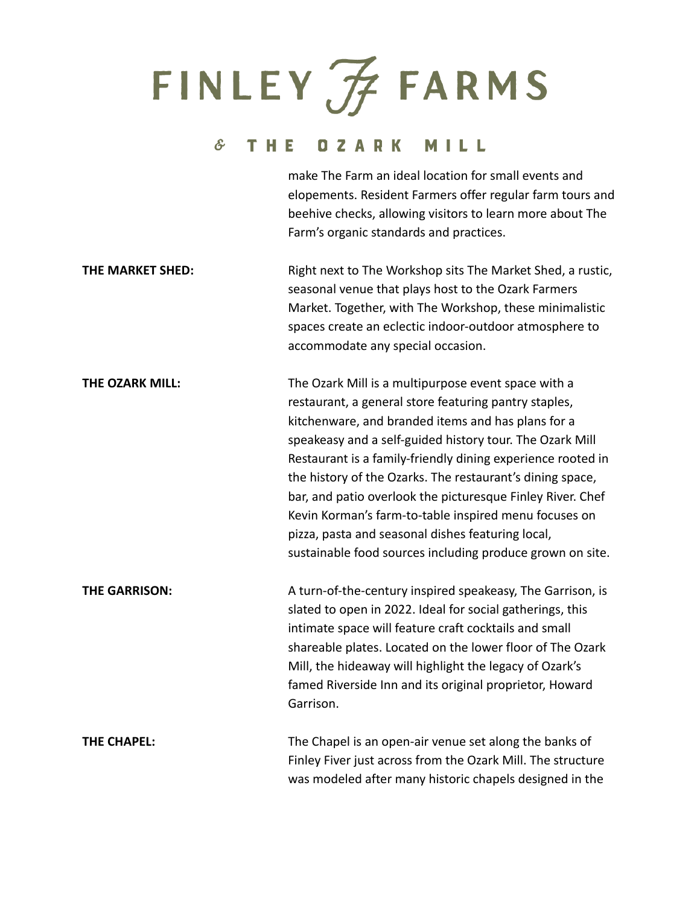## FINLEY FARMS

### & THE OZARK MILL

|                        | make The Farm an ideal location for small events and<br>elopements. Resident Farmers offer regular farm tours and<br>beehive checks, allowing visitors to learn more about The<br>Farm's organic standards and practices.                                                                                                                                                                                                                                                                                                                                                                           |
|------------------------|-----------------------------------------------------------------------------------------------------------------------------------------------------------------------------------------------------------------------------------------------------------------------------------------------------------------------------------------------------------------------------------------------------------------------------------------------------------------------------------------------------------------------------------------------------------------------------------------------------|
| THE MARKET SHED:       | Right next to The Workshop sits The Market Shed, a rustic,<br>seasonal venue that plays host to the Ozark Farmers<br>Market. Together, with The Workshop, these minimalistic<br>spaces create an eclectic indoor-outdoor atmosphere to<br>accommodate any special occasion.                                                                                                                                                                                                                                                                                                                         |
| <b>THE OZARK MILL:</b> | The Ozark Mill is a multipurpose event space with a<br>restaurant, a general store featuring pantry staples,<br>kitchenware, and branded items and has plans for a<br>speakeasy and a self-guided history tour. The Ozark Mill<br>Restaurant is a family-friendly dining experience rooted in<br>the history of the Ozarks. The restaurant's dining space,<br>bar, and patio overlook the picturesque Finley River. Chef<br>Kevin Korman's farm-to-table inspired menu focuses on<br>pizza, pasta and seasonal dishes featuring local,<br>sustainable food sources including produce grown on site. |
| <b>THE GARRISON:</b>   | A turn-of-the-century inspired speakeasy, The Garrison, is<br>slated to open in 2022. Ideal for social gatherings, this<br>intimate space will feature craft cocktails and small<br>shareable plates. Located on the lower floor of The Ozark<br>Mill, the hideaway will highlight the legacy of Ozark's<br>famed Riverside Inn and its original proprietor, Howard<br>Garrison.                                                                                                                                                                                                                    |
| <b>THE CHAPEL:</b>     | The Chapel is an open-air venue set along the banks of<br>Finley Fiver just across from the Ozark Mill. The structure<br>was modeled after many historic chapels designed in the                                                                                                                                                                                                                                                                                                                                                                                                                    |